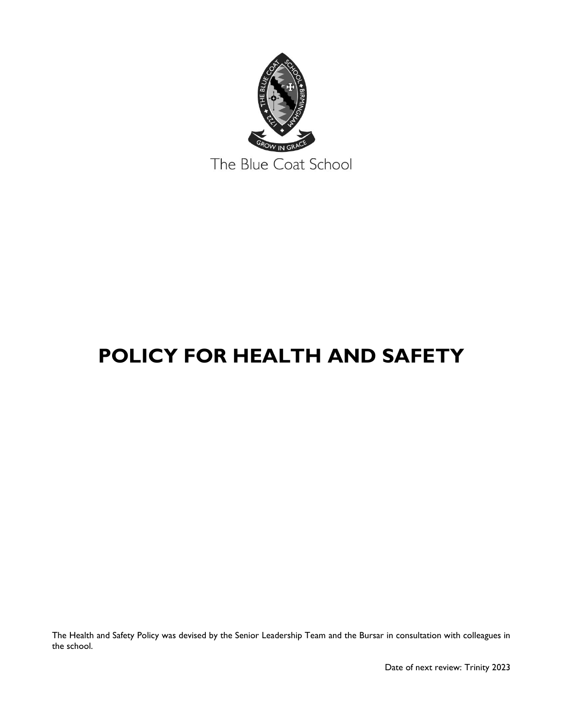

# **POLICY FOR HEALTH AND SAFETY**

The Health and Safety Policy was devised by the Senior Leadership Team and the Bursar in consultation with colleagues in the school.

Date of next review: Trinity 2023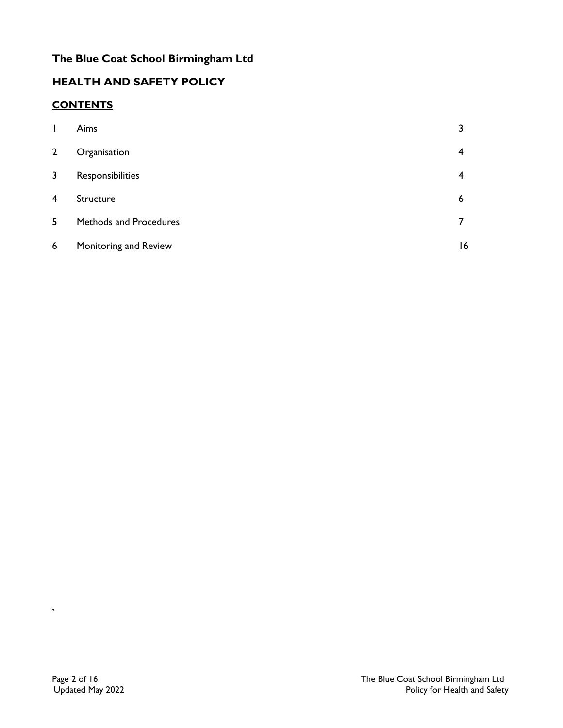# **The Blue Coat School Birmingham Ltd**

## **HEALTH AND SAFETY POLICY**

## **CONTENTS**

| $\mathbf{I}$            | Aims                   |    |
|-------------------------|------------------------|----|
| $\overline{2}$          | Organisation           | 4  |
| $\overline{\mathbf{3}}$ | Responsibilities       | 4  |
| 4                       | Structure              | 6  |
| $5\overline{)}$         | Methods and Procedures |    |
| 6                       | Monitoring and Review  | 16 |

**`**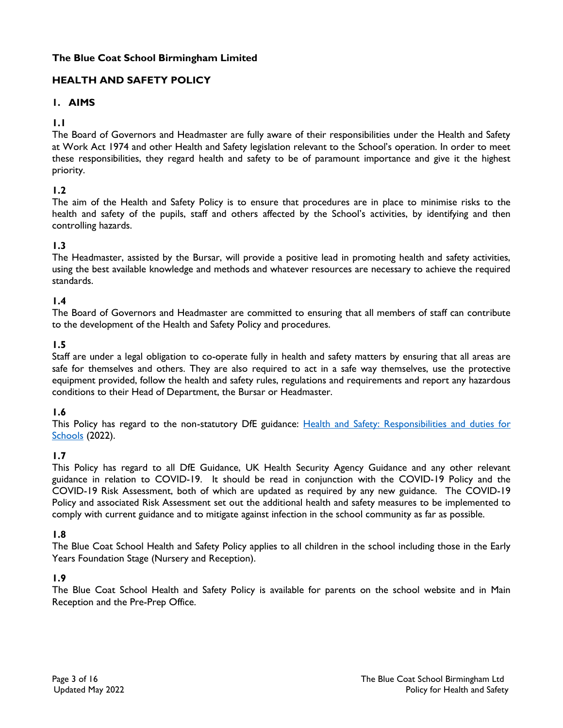## **The Blue Coat School Birmingham Limited**

## **HEALTH AND SAFETY POLICY**

## **1. AIMS**

## **1.1**

The Board of Governors and Headmaster are fully aware of their responsibilities under the Health and Safety at Work Act 1974 and other Health and Safety legislation relevant to the School's operation. In order to meet these responsibilities, they regard health and safety to be of paramount importance and give it the highest priority.

## **1.2**

The aim of the Health and Safety Policy is to ensure that procedures are in place to minimise risks to the health and safety of the pupils, staff and others affected by the School's activities, by identifying and then controlling hazards.

## **1.3**

The Headmaster, assisted by the Bursar, will provide a positive lead in promoting health and safety activities, using the best available knowledge and methods and whatever resources are necessary to achieve the required standards.

## **1.4**

The Board of Governors and Headmaster are committed to ensuring that all members of staff can contribute to the development of the Health and Safety Policy and procedures.

## **1.5**

Staff are under a legal obligation to co-operate fully in health and safety matters by ensuring that all areas are safe for themselves and others. They are also required to act in a safe way themselves, use the protective equipment provided, follow the health and safety rules, regulations and requirements and report any hazardous conditions to their Head of Department, the Bursar or Headmaster.

## **1.6**

This Policy has regard to the non-statutory DfE guidance: Health and Safety: Responsibilities and duties for [Schools](https://www.gov.uk/government/publications/health-and-safety-advice-for-schools/responsibilities-and-duties-for-schools) (2022).

## **1.7**

This Policy has regard to all DfE Guidance, UK Health Security Agency Guidance and any other relevant guidance in relation to COVID-19. It should be read in conjunction with the COVID-19 Policy and the COVID-19 Risk Assessment, both of which are updated as required by any new guidance. The COVID-19 Policy and associated Risk Assessment set out the additional health and safety measures to be implemented to comply with current guidance and to mitigate against infection in the school community as far as possible.

## **1.8**

The Blue Coat School Health and Safety Policy applies to all children in the school including those in the Early Years Foundation Stage (Nursery and Reception).

## **1.9**

The Blue Coat School Health and Safety Policy is available for parents on the school website and in Main Reception and the Pre-Prep Office.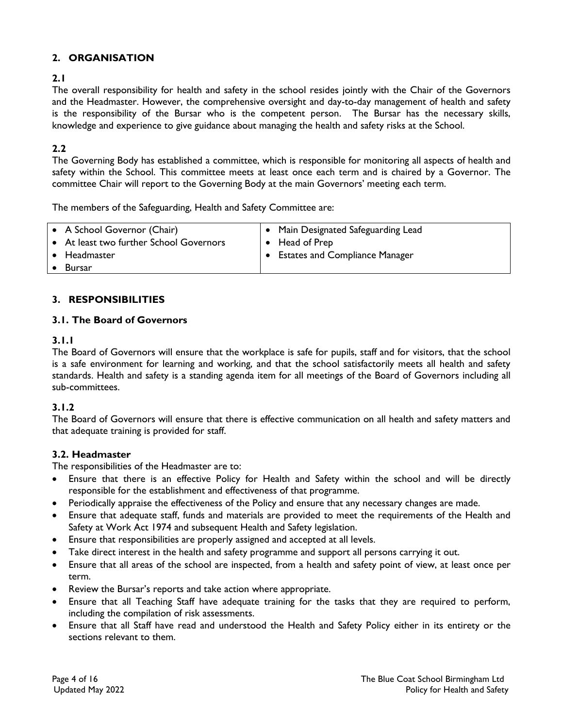## **2. ORGANISATION**

## **2.1**

The overall responsibility for health and safety in the school resides jointly with the Chair of the Governors and the Headmaster. However, the comprehensive oversight and day-to-day management of health and safety is the responsibility of the Bursar who is the competent person. The Bursar has the necessary skills, knowledge and experience to give guidance about managing the health and safety risks at the School.

## **2.2**

The Governing Body has established a committee, which is responsible for monitoring all aspects of health and safety within the School. This committee meets at least once each term and is chaired by a Governor. The committee Chair will report to the Governing Body at the main Governors' meeting each term.

The members of the Safeguarding, Health and Safety Committee are:

| • A School Governor (Chair)<br>• At least two further School Governors | $\bullet$ Main Designated Safeguarding Lead<br>$\bullet$ Head of Prep |
|------------------------------------------------------------------------|-----------------------------------------------------------------------|
| $\bullet$ Headmaster                                                   | <b>Estates and Compliance Manager</b>                                 |
| <b>Bursar</b>                                                          |                                                                       |

## **3. RESPONSIBILITIES**

## **3.1. The Board of Governors**

## **3.1.1**

The Board of Governors will ensure that the workplace is safe for pupils, staff and for visitors, that the school is a safe environment for learning and working, and that the school satisfactorily meets all health and safety standards. Health and safety is a standing agenda item for all meetings of the Board of Governors including all sub-committees.

## **3.1.2**

The Board of Governors will ensure that there is effective communication on all health and safety matters and that adequate training is provided for staff.

## **3.2. Headmaster**

The responsibilities of the Headmaster are to:

- Ensure that there is an effective Policy for Health and Safety within the school and will be directly responsible for the establishment and effectiveness of that programme.
- Periodically appraise the effectiveness of the Policy and ensure that any necessary changes are made.
- Ensure that adequate staff, funds and materials are provided to meet the requirements of the Health and Safety at Work Act 1974 and subsequent Health and Safety legislation.
- Ensure that responsibilities are properly assigned and accepted at all levels.
- Take direct interest in the health and safety programme and support all persons carrying it out.
- Ensure that all areas of the school are inspected, from a health and safety point of view, at least once per term.
- Review the Bursar's reports and take action where appropriate.
- Ensure that all Teaching Staff have adequate training for the tasks that they are required to perform, including the compilation of risk assessments.
- Ensure that all Staff have read and understood the Health and Safety Policy either in its entirety or the sections relevant to them.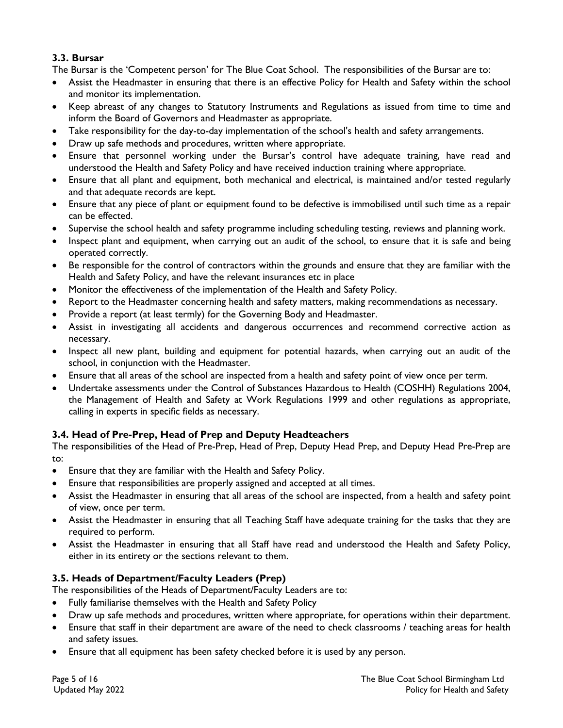## **3.3. Bursar**

The Bursar is the 'Competent person' for The Blue Coat School. The responsibilities of the Bursar are to:

- Assist the Headmaster in ensuring that there is an effective Policy for Health and Safety within the school and monitor its implementation.
- Keep abreast of any changes to Statutory Instruments and Regulations as issued from time to time and inform the Board of Governors and Headmaster as appropriate.
- Take responsibility for the day-to-day implementation of the school's health and safety arrangements.
- Draw up safe methods and procedures, written where appropriate.
- Ensure that personnel working under the Bursar's control have adequate training, have read and understood the Health and Safety Policy and have received induction training where appropriate.
- Ensure that all plant and equipment, both mechanical and electrical, is maintained and/or tested regularly and that adequate records are kept.
- Ensure that any piece of plant or equipment found to be defective is immobilised until such time as a repair can be effected.
- Supervise the school health and safety programme including scheduling testing, reviews and planning work.
- Inspect plant and equipment, when carrying out an audit of the school, to ensure that it is safe and being operated correctly.
- Be responsible for the control of contractors within the grounds and ensure that they are familiar with the Health and Safety Policy, and have the relevant insurances etc in place
- Monitor the effectiveness of the implementation of the Health and Safety Policy.
- Report to the Headmaster concerning health and safety matters, making recommendations as necessary.
- Provide a report (at least termly) for the Governing Body and Headmaster.
- Assist in investigating all accidents and dangerous occurrences and recommend corrective action as necessary.
- Inspect all new plant, building and equipment for potential hazards, when carrying out an audit of the school, in conjunction with the Headmaster.
- Ensure that all areas of the school are inspected from a health and safety point of view once per term.
- Undertake assessments under the Control of Substances Hazardous to Health (COSHH) Regulations 2004, the Management of Health and Safety at Work Regulations 1999 and other regulations as appropriate, calling in experts in specific fields as necessary.

## **3.4. Head of Pre-Prep, Head of Prep and Deputy Headteachers**

The responsibilities of the Head of Pre-Prep, Head of Prep, Deputy Head Prep, and Deputy Head Pre-Prep are to:

- Ensure that they are familiar with the Health and Safety Policy.
- Ensure that responsibilities are properly assigned and accepted at all times.
- Assist the Headmaster in ensuring that all areas of the school are inspected, from a health and safety point of view, once per term.
- Assist the Headmaster in ensuring that all Teaching Staff have adequate training for the tasks that they are required to perform.
- Assist the Headmaster in ensuring that all Staff have read and understood the Health and Safety Policy, either in its entirety or the sections relevant to them.

## **3.5. Heads of Department/Faculty Leaders (Prep)**

The responsibilities of the Heads of Department/Faculty Leaders are to:

- Fully familiarise themselves with the Health and Safety Policy
- Draw up safe methods and procedures, written where appropriate, for operations within their department.
- Ensure that staff in their department are aware of the need to check classrooms / teaching areas for health and safety issues.
- Ensure that all equipment has been safety checked before it is used by any person.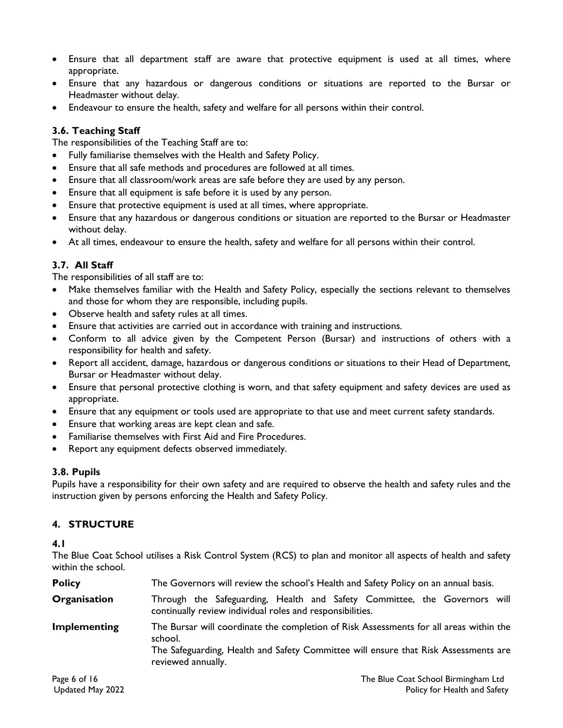- Ensure that all department staff are aware that protective equipment is used at all times, where appropriate.
- Ensure that any hazardous or dangerous conditions or situations are reported to the Bursar or Headmaster without delay.
- Endeavour to ensure the health, safety and welfare for all persons within their control.

## **3.6. Teaching Staff**

The responsibilities of the Teaching Staff are to:

- Fully familiarise themselves with the Health and Safety Policy.
- Ensure that all safe methods and procedures are followed at all times.
- Ensure that all classroom/work areas are safe before they are used by any person.
- Ensure that all equipment is safe before it is used by any person.
- Ensure that protective equipment is used at all times, where appropriate.
- Ensure that any hazardous or dangerous conditions or situation are reported to the Bursar or Headmaster without delay.
- At all times, endeavour to ensure the health, safety and welfare for all persons within their control.

## **3.7. All Staff**

The responsibilities of all staff are to:

- Make themselves familiar with the Health and Safety Policy, especially the sections relevant to themselves and those for whom they are responsible, including pupils.
- Observe health and safety rules at all times.
- Ensure that activities are carried out in accordance with training and instructions.
- Conform to all advice given by the Competent Person (Bursar) and instructions of others with a responsibility for health and safety.
- Report all accident, damage, hazardous or dangerous conditions or situations to their Head of Department, Bursar or Headmaster without delay.
- Ensure that personal protective clothing is worn, and that safety equipment and safety devices are used as appropriate.
- Ensure that any equipment or tools used are appropriate to that use and meet current safety standards.
- Ensure that working areas are kept clean and safe.
- Familiarise themselves with First Aid and Fire Procedures.
- Report any equipment defects observed immediately.

#### **3.8. Pupils**

Pupils have a responsibility for their own safety and are required to observe the health and safety rules and the instruction given by persons enforcing the Health and Safety Policy.

## **4. STRUCTURE**

#### **4.1**

The Blue Coat School utilises a Risk Control System (RCS) to plan and monitor all aspects of health and safety within the school.

| <b>Policy</b> | The Governors will review the school's Health and Safety Policy on an annual basis.                                                                                                                            |  |  |  |  |  |
|---------------|----------------------------------------------------------------------------------------------------------------------------------------------------------------------------------------------------------------|--|--|--|--|--|
| Organisation  | Through the Safeguarding, Health and Safety Committee, the Governors will<br>continually review individual roles and responsibilities.                                                                         |  |  |  |  |  |
| Implementing  | The Bursar will coordinate the completion of Risk Assessments for all areas within the<br>school.<br>The Safeguarding, Health and Safety Committee will ensure that Risk Assessments are<br>reviewed annually. |  |  |  |  |  |
| Page 6 of 16  | The Blue Coat School Birmingham Ltd.                                                                                                                                                                           |  |  |  |  |  |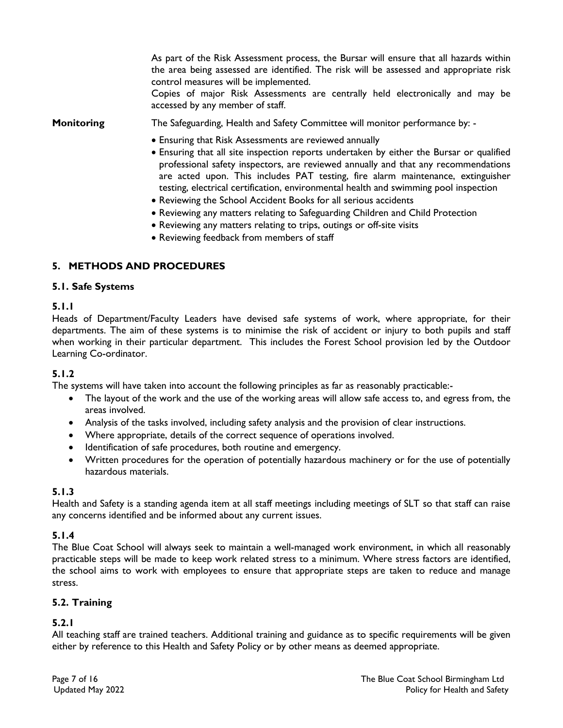As part of the Risk Assessment process, the Bursar will ensure that all hazards within the area being assessed are identified. The risk will be assessed and appropriate risk control measures will be implemented.

Copies of major Risk Assessments are centrally held electronically and may be accessed by any member of staff.

**Monitoring** The Safeguarding, Health and Safety Committee will monitor performance by:

- Ensuring that Risk Assessments are reviewed annually
- Ensuring that all site inspection reports undertaken by either the Bursar or qualified professional safety inspectors, are reviewed annually and that any recommendations are acted upon. This includes PAT testing, fire alarm maintenance, extinguisher testing, electrical certification, environmental health and swimming pool inspection
- Reviewing the School Accident Books for all serious accidents
- Reviewing any matters relating to Safeguarding Children and Child Protection
- Reviewing any matters relating to trips, outings or off-site visits
- Reviewing feedback from members of staff

## **5. METHODS AND PROCEDURES**

#### **5.1. Safe Systems**

#### **5.1.1**

Heads of Department/Faculty Leaders have devised safe systems of work, where appropriate, for their departments. The aim of these systems is to minimise the risk of accident or injury to both pupils and staff when working in their particular department. This includes the Forest School provision led by the Outdoor Learning Co-ordinator.

## **5.1.2**

The systems will have taken into account the following principles as far as reasonably practicable:-

- The layout of the work and the use of the working areas will allow safe access to, and egress from, the areas involved.
- Analysis of the tasks involved, including safety analysis and the provision of clear instructions.
- Where appropriate, details of the correct sequence of operations involved.
- Identification of safe procedures, both routine and emergency.
- Written procedures for the operation of potentially hazardous machinery or for the use of potentially hazardous materials.

#### **5.1.3**

Health and Safety is a standing agenda item at all staff meetings including meetings of SLT so that staff can raise any concerns identified and be informed about any current issues.

## **5.1.4**

The Blue Coat School will always seek to maintain a well-managed work environment, in which all reasonably practicable steps will be made to keep work related stress to a minimum. Where stress factors are identified, the school aims to work with employees to ensure that appropriate steps are taken to reduce and manage stress.

#### **5.2. Training**

## **5.2.1**

All teaching staff are trained teachers. Additional training and guidance as to specific requirements will be given either by reference to this Health and Safety Policy or by other means as deemed appropriate.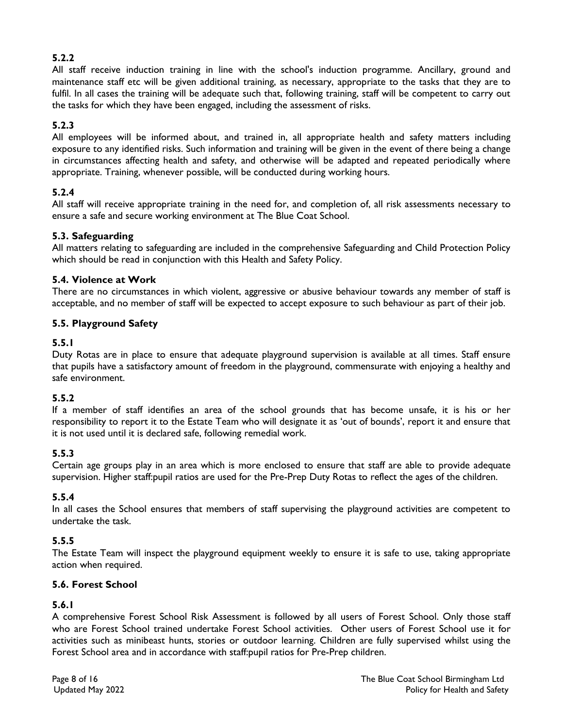## **5.2.2**

All staff receive induction training in line with the school's induction programme. Ancillary, ground and maintenance staff etc will be given additional training, as necessary, appropriate to the tasks that they are to fulfil. In all cases the training will be adequate such that, following training, staff will be competent to carry out the tasks for which they have been engaged, including the assessment of risks.

## **5.2.3**

All employees will be informed about, and trained in, all appropriate health and safety matters including exposure to any identified risks. Such information and training will be given in the event of there being a change in circumstances affecting health and safety, and otherwise will be adapted and repeated periodically where appropriate. Training, whenever possible, will be conducted during working hours.

## **5.2.4**

All staff will receive appropriate training in the need for, and completion of, all risk assessments necessary to ensure a safe and secure working environment at The Blue Coat School.

## **5.3. Safeguarding**

All matters relating to safeguarding are included in the comprehensive Safeguarding and Child Protection Policy which should be read in conjunction with this Health and Safety Policy.

## **5.4. Violence at Work**

There are no circumstances in which violent, aggressive or abusive behaviour towards any member of staff is acceptable, and no member of staff will be expected to accept exposure to such behaviour as part of their job.

## **5.5. Playground Safety**

## **5.5.1**

Duty Rotas are in place to ensure that adequate playground supervision is available at all times. Staff ensure that pupils have a satisfactory amount of freedom in the playground, commensurate with enjoying a healthy and safe environment.

## **5.5.2**

If a member of staff identifies an area of the school grounds that has become unsafe, it is his or her responsibility to report it to the Estate Team who will designate it as 'out of bounds', report it and ensure that it is not used until it is declared safe, following remedial work.

## **5.5.3**

Certain age groups play in an area which is more enclosed to ensure that staff are able to provide adequate supervision. Higher staff:pupil ratios are used for the Pre-Prep Duty Rotas to reflect the ages of the children.

## **5.5.4**

In all cases the School ensures that members of staff supervising the playground activities are competent to undertake the task.

## **5.5.5**

The Estate Team will inspect the playground equipment weekly to ensure it is safe to use, taking appropriate action when required.

## **5.6. Forest School**

## **5.6.1**

A comprehensive Forest School Risk Assessment is followed by all users of Forest School. Only those staff who are Forest School trained undertake Forest School activities. Other users of Forest School use it for activities such as minibeast hunts, stories or outdoor learning. Children are fully supervised whilst using the Forest School area and in accordance with staff:pupil ratios for Pre-Prep children.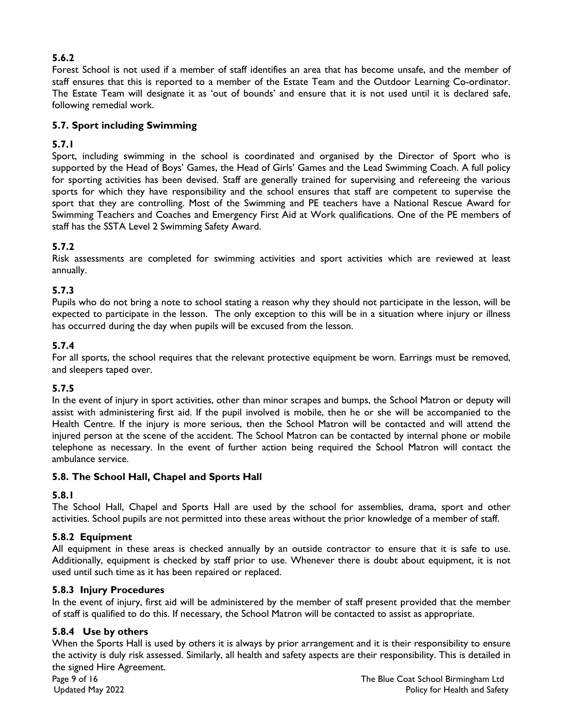## **5.6.2**

Forest School is not used if a member of staff identifies an area that has become unsafe, and the member of staff ensures that this is reported to a member of the Estate Team and the Outdoor Learning Co-ordinator. The Estate Team will designate it as 'out of bounds' and ensure that it is not used until it is declared safe, following remedial work.

## **5.7. Sport including Swimming**

## **5.7.1**

Sport, including swimming in the school is coordinated and organised by the Director of Sport who is supported by the Head of Boys' Games, the Head of Girls' Games and the Lead Swimming Coach. A full policy for sporting activities has been devised. Staff are generally trained for supervising and refereeing the various sports for which they have responsibility and the school ensures that staff are competent to supervise the sport that they are controlling. Most of the Swimming and PE teachers have a National Rescue Award for Swimming Teachers and Coaches and Emergency First Aid at Work qualifications. One of the PE members of staff has the SSTA Level 2 Swimming Safety Award.

## **5.7.2**

Risk assessments are completed for swimming activities and sport activities which are reviewed at least annually.

## **5.7.3**

Pupils who do not bring a note to school stating a reason why they should not participate in the lesson, will be expected to participate in the lesson. The only exception to this will be in a situation where injury or illness has occurred during the day when pupils will be excused from the lesson.

## **5.7.4**

For all sports, the school requires that the relevant protective equipment be worn. Earrings must be removed, and sleepers taped over.

## **5.7.5**

In the event of injury in sport activities, other than minor scrapes and bumps, the School Matron or deputy will assist with administering first aid. If the pupil involved is mobile, then he or she will be accompanied to the Health Centre. If the injury is more serious, then the School Matron will be contacted and will attend the injured person at the scene of the accident. The School Matron can be contacted by internal phone or mobile telephone as necessary. In the event of further action being required the School Matron will contact the ambulance service.

## **5.8. The School Hall, Chapel and Sports Hall**

## **5.8.1**

The School Hall, Chapel and Sports Hall are used by the school for assemblies, drama, sport and other activities. School pupils are not permitted into these areas without the prior knowledge of a member of staff.

## **5.8.2 Equipment**

All equipment in these areas is checked annually by an outside contractor to ensure that it is safe to use. Additionally, equipment is checked by staff prior to use. Whenever there is doubt about equipment, it is not used until such time as it has been repaired or replaced.

## **5.8.3 Injury Procedures**

In the event of injury, first aid will be administered by the member of staff present provided that the member of staff is qualified to do this. If necessary, the School Matron will be contacted to assist as appropriate.

## **5.8.4 Use by others**

When the Sports Hall is used by others it is always by prior arrangement and it is their responsibility to ensure the activity is duly risk assessed. Similarly, all health and safety aspects are their responsibility. This is detailed in the signed Hire Agreement.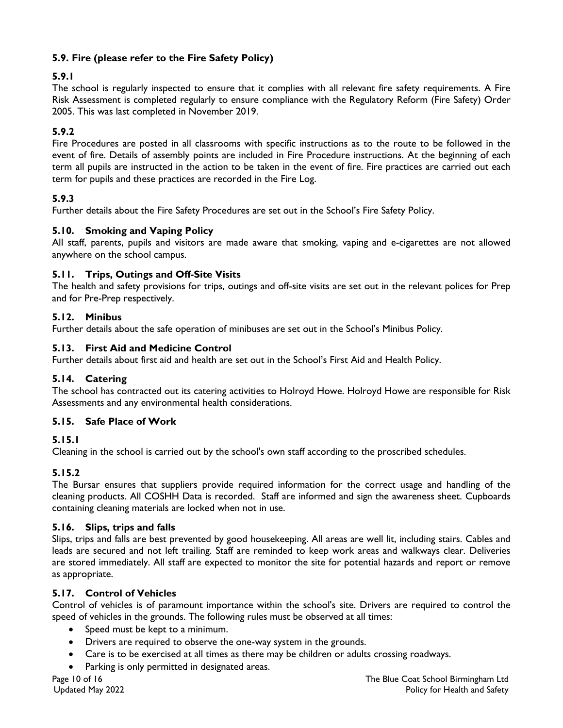## **5.9. Fire (please refer to the Fire Safety Policy)**

## **5.9.1**

The school is regularly inspected to ensure that it complies with all relevant fire safety requirements. A Fire Risk Assessment is completed regularly to ensure compliance with the Regulatory Reform (Fire Safety) Order 2005. This was last completed in November 2019.

## **5.9.2**

Fire Procedures are posted in all classrooms with specific instructions as to the route to be followed in the event of fire. Details of assembly points are included in Fire Procedure instructions. At the beginning of each term all pupils are instructed in the action to be taken in the event of fire. Fire practices are carried out each term for pupils and these practices are recorded in the Fire Log.

## **5.9.3**

Further details about the Fire Safety Procedures are set out in the School's Fire Safety Policy.

## **5.10. Smoking and Vaping Policy**

All staff, parents, pupils and visitors are made aware that smoking, vaping and e-cigarettes are not allowed anywhere on the school campus.

## **5.11. Trips, Outings and Off-Site Visits**

The health and safety provisions for trips, outings and off-site visits are set out in the relevant polices for Prep and for Pre-Prep respectively.

## **5.12. Minibus**

Further details about the safe operation of minibuses are set out in the School's Minibus Policy.

## **5.13. First Aid and Medicine Control**

Further details about first aid and health are set out in the School's First Aid and Health Policy.

## **5.14. Catering**

The school has contracted out its catering activities to Holroyd Howe. Holroyd Howe are responsible for Risk Assessments and any environmental health considerations.

## **5.15. Safe Place of Work**

## **5.15.1**

Cleaning in the school is carried out by the school's own staff according to the proscribed schedules.

## **5.15.2**

The Bursar ensures that suppliers provide required information for the correct usage and handling of the cleaning products. All COSHH Data is recorded. Staff are informed and sign the awareness sheet. Cupboards containing cleaning materials are locked when not in use.

## **5.16. Slips, trips and falls**

Slips, trips and falls are best prevented by good housekeeping. All areas are well lit, including stairs. Cables and leads are secured and not left trailing. Staff are reminded to keep work areas and walkways clear. Deliveries are stored immediately. All staff are expected to monitor the site for potential hazards and report or remove as appropriate.

## **5.17. Control of Vehicles**

Control of vehicles is of paramount importance within the school's site. Drivers are required to control the speed of vehicles in the grounds. The following rules must be observed at all times:

- Speed must be kept to a minimum.
- Drivers are required to observe the one-way system in the grounds.
- Care is to be exercised at all times as there may be children or adults crossing roadways.
- Parking is only permitted in designated areas.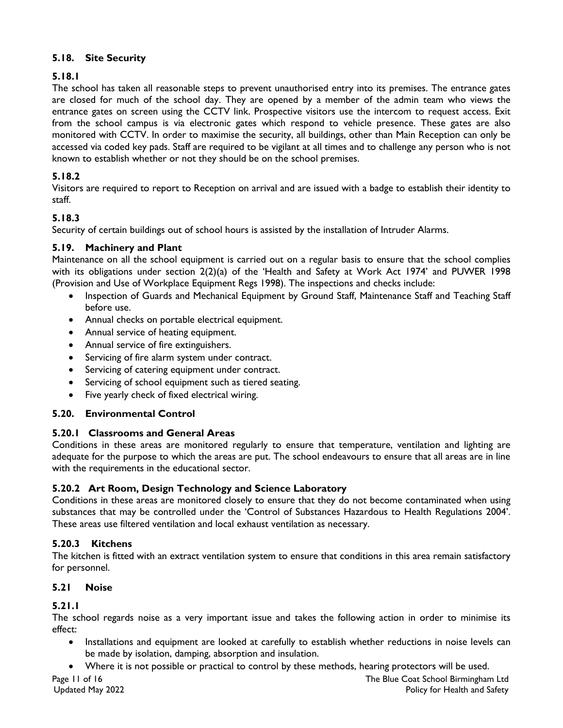## **5.18. Site Security**

## **5.18.1**

The school has taken all reasonable steps to prevent unauthorised entry into its premises. The entrance gates are closed for much of the school day. They are opened by a member of the admin team who views the entrance gates on screen using the CCTV link. Prospective visitors use the intercom to request access. Exit from the school campus is via electronic gates which respond to vehicle presence. These gates are also monitored with CCTV. In order to maximise the security, all buildings, other than Main Reception can only be accessed via coded key pads. Staff are required to be vigilant at all times and to challenge any person who is not known to establish whether or not they should be on the school premises.

## **5.18.2**

Visitors are required to report to Reception on arrival and are issued with a badge to establish their identity to staff.

## **5.18.3**

Security of certain buildings out of school hours is assisted by the installation of Intruder Alarms.

## **5.19. Machinery and Plant**

Maintenance on all the school equipment is carried out on a regular basis to ensure that the school complies with its obligations under section 2(2)(a) of the 'Health and Safety at Work Act 1974' and PUWER 1998 (Provision and Use of Workplace Equipment Regs 1998). The inspections and checks include:

- Inspection of Guards and Mechanical Equipment by Ground Staff, Maintenance Staff and Teaching Staff before use.
- Annual checks on portable electrical equipment.
- Annual service of heating equipment.
- Annual service of fire extinguishers.
- Servicing of fire alarm system under contract.
- Servicing of catering equipment under contract.
- Servicing of school equipment such as tiered seating.
- Five yearly check of fixed electrical wiring.

## **5.20. Environmental Control**

## **5.20.1 Classrooms and General Areas**

Conditions in these areas are monitored regularly to ensure that temperature, ventilation and lighting are adequate for the purpose to which the areas are put. The school endeavours to ensure that all areas are in line with the requirements in the educational sector.

## **5.20.2 Art Room, Design Technology and Science Laboratory**

Conditions in these areas are monitored closely to ensure that they do not become contaminated when using substances that may be controlled under the 'Control of Substances Hazardous to Health Regulations 2004'. These areas use filtered ventilation and local exhaust ventilation as necessary.

## **5.20.3 Kitchens**

The kitchen is fitted with an extract ventilation system to ensure that conditions in this area remain satisfactory for personnel.

## **5.21 Noise**

## **5.21.1**

The school regards noise as a very important issue and takes the following action in order to minimise its effect:

- Installations and equipment are looked at carefully to establish whether reductions in noise levels can be made by isolation, damping, absorption and insulation.
- Where it is not possible or practical to control by these methods, hearing protectors will be used.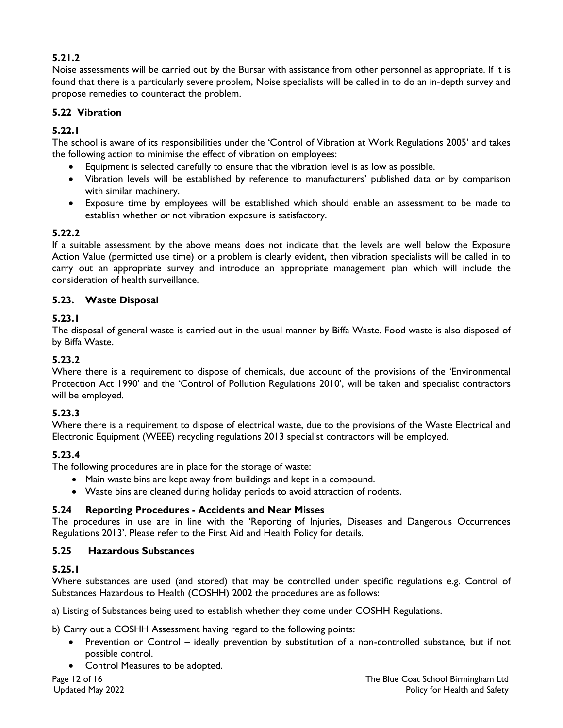## **5.21.2**

Noise assessments will be carried out by the Bursar with assistance from other personnel as appropriate. If it is found that there is a particularly severe problem, Noise specialists will be called in to do an in-depth survey and propose remedies to counteract the problem.

## **5.22 Vibration**

## **5.22.1**

The school is aware of its responsibilities under the 'Control of Vibration at Work Regulations 2005' and takes the following action to minimise the effect of vibration on employees:

- Equipment is selected carefully to ensure that the vibration level is as low as possible.
- Vibration levels will be established by reference to manufacturers' published data or by comparison with similar machinery.
- Exposure time by employees will be established which should enable an assessment to be made to establish whether or not vibration exposure is satisfactory.

## **5.22.2**

If a suitable assessment by the above means does not indicate that the levels are well below the Exposure Action Value (permitted use time) or a problem is clearly evident, then vibration specialists will be called in to carry out an appropriate survey and introduce an appropriate management plan which will include the consideration of health surveillance.

## **5.23. Waste Disposal**

## **5.23.1**

The disposal of general waste is carried out in the usual manner by Biffa Waste. Food waste is also disposed of by Biffa Waste.

## **5.23.2**

Where there is a requirement to dispose of chemicals, due account of the provisions of the 'Environmental Protection Act 1990' and the 'Control of Pollution Regulations 2010', will be taken and specialist contractors will be employed.

## **5.23.3**

Where there is a requirement to dispose of electrical waste, due to the provisions of the Waste Electrical and Electronic Equipment (WEEE) recycling regulations 2013 specialist contractors will be employed.

## **5.23.4**

The following procedures are in place for the storage of waste:

- Main waste bins are kept away from buildings and kept in a compound.
- Waste bins are cleaned during holiday periods to avoid attraction of rodents.

## **5.24 Reporting Procedures - Accidents and Near Misses**

The procedures in use are in line with the 'Reporting of Injuries, Diseases and Dangerous Occurrences Regulations 2013'. Please refer to the First Aid and Health Policy for details.

## **5.25 Hazardous Substances**

## **5.25.1**

Where substances are used (and stored) that may be controlled under specific regulations e.g. Control of Substances Hazardous to Health (COSHH) 2002 the procedures are as follows:

a) Listing of Substances being used to establish whether they come under COSHH Regulations.

b) Carry out a COSHH Assessment having regard to the following points:

- Prevention or Control ideally prevention by substitution of a non-controlled substance, but if not possible control.
- Control Measures to be adopted.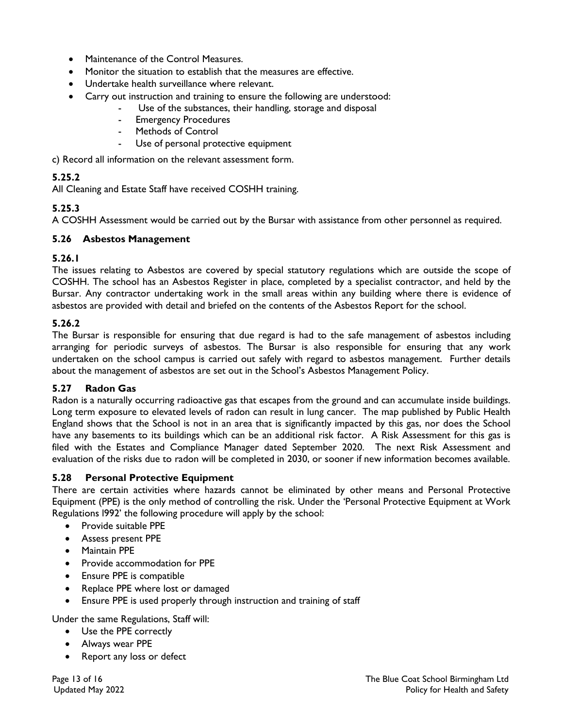- Maintenance of the Control Measures.
- Monitor the situation to establish that the measures are effective.
- Undertake health surveillance where relevant.
- Carry out instruction and training to ensure the following are understood:
	- Use of the substances, their handling, storage and disposal
	- **Emergency Procedures**
	- Methods of Control
	- Use of personal protective equipment

c) Record all information on the relevant assessment form.

## **5.25.2**

All Cleaning and Estate Staff have received COSHH training.

## **5.25.3**

A COSHH Assessment would be carried out by the Bursar with assistance from other personnel as required.

## **5.26 Asbestos Management**

## **5.26.1**

The issues relating to Asbestos are covered by special statutory regulations which are outside the scope of COSHH. The school has an Asbestos Register in place, completed by a specialist contractor, and held by the Bursar. Any contractor undertaking work in the small areas within any building where there is evidence of asbestos are provided with detail and briefed on the contents of the Asbestos Report for the school.

## **5.26.2**

The Bursar is responsible for ensuring that due regard is had to the safe management of asbestos including arranging for periodic surveys of asbestos. The Bursar is also responsible for ensuring that any work undertaken on the school campus is carried out safely with regard to asbestos management. Further details about the management of asbestos are set out in the School's Asbestos Management Policy.

## **5.27 Radon Gas**

Radon is a naturally occurring radioactive gas that escapes from the ground and can accumulate inside buildings. Long term exposure to elevated levels of radon can result in lung cancer. The map published by Public Health England shows that the School is not in an area that is significantly impacted by this gas, nor does the School have any basements to its buildings which can be an additional risk factor. A Risk Assessment for this gas is filed with the Estates and Compliance Manager dated September 2020. The next Risk Assessment and evaluation of the risks due to radon will be completed in 2030, or sooner if new information becomes available.

## **5.28 Personal Protective Equipment**

There are certain activities where hazards cannot be eliminated by other means and Personal Protective Equipment (PPE) is the only method of controlling the risk. Under the 'Personal Protective Equipment at Work Regulations l992' the following procedure will apply by the school:

- Provide suitable PPE
- Assess present PPE
- Maintain PPE
- Provide accommodation for PPE
- Ensure PPE is compatible
- Replace PPE where lost or damaged
- Ensure PPE is used properly through instruction and training of staff

Under the same Regulations, Staff will:

- Use the PPE correctly
- Always wear PPE
- Report any loss or defect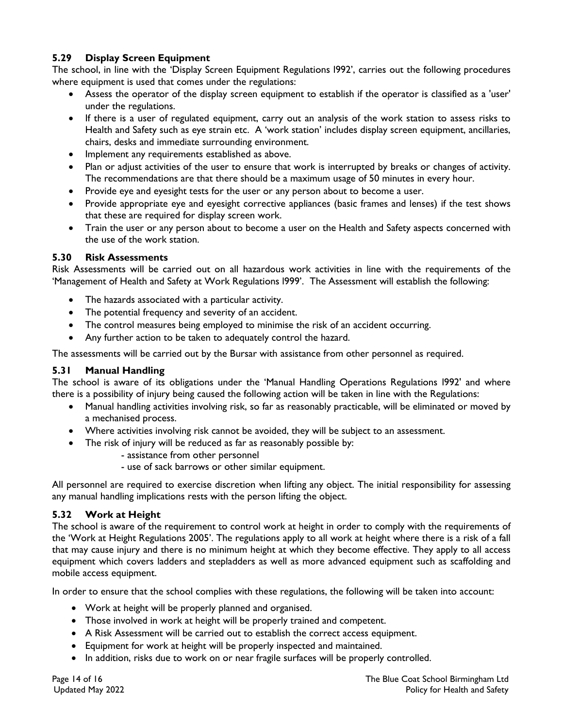## **5.29 Display Screen Equipment**

The school, in line with the 'Display Screen Equipment Regulations l992', carries out the following procedures where equipment is used that comes under the regulations:

- Assess the operator of the display screen equipment to establish if the operator is classified as a 'user' under the regulations.
- If there is a user of regulated equipment, carry out an analysis of the work station to assess risks to Health and Safety such as eye strain etc. A 'work station' includes display screen equipment, ancillaries, chairs, desks and immediate surrounding environment.
- Implement any requirements established as above.
- Plan or adjust activities of the user to ensure that work is interrupted by breaks or changes of activity. The recommendations are that there should be a maximum usage of 50 minutes in every hour.
- Provide eye and eyesight tests for the user or any person about to become a user.
- Provide appropriate eye and eyesight corrective appliances (basic frames and lenses) if the test shows that these are required for display screen work.
- Train the user or any person about to become a user on the Health and Safety aspects concerned with the use of the work station.

## **5.30 Risk Assessments**

Risk Assessments will be carried out on all hazardous work activities in line with the requirements of the 'Management of Health and Safety at Work Regulations l999'. The Assessment will establish the following:

- The hazards associated with a particular activity.
- The potential frequency and severity of an accident.
- The control measures being employed to minimise the risk of an accident occurring.
- Any further action to be taken to adequately control the hazard.

The assessments will be carried out by the Bursar with assistance from other personnel as required.

## **5.31 Manual Handling**

The school is aware of its obligations under the 'Manual Handling Operations Regulations l992' and where there is a possibility of injury being caused the following action will be taken in line with the Regulations:

- Manual handling activities involving risk, so far as reasonably practicable, will be eliminated or moved by a mechanised process.
- Where activities involving risk cannot be avoided, they will be subject to an assessment.
- The risk of injury will be reduced as far as reasonably possible by:
	- assistance from other personnel
	- use of sack barrows or other similar equipment.

All personnel are required to exercise discretion when lifting any object. The initial responsibility for assessing any manual handling implications rests with the person lifting the object.

## **5.32 Work at Height**

The school is aware of the requirement to control work at height in order to comply with the requirements of the 'Work at Height Regulations 2005'. The regulations apply to all work at height where there is a risk of a fall that may cause injury and there is no minimum height at which they become effective. They apply to all access equipment which covers ladders and stepladders as well as more advanced equipment such as scaffolding and mobile access equipment.

In order to ensure that the school complies with these regulations, the following will be taken into account:

- Work at height will be properly planned and organised.
- Those involved in work at height will be properly trained and competent.
- A Risk Assessment will be carried out to establish the correct access equipment.
- Equipment for work at height will be properly inspected and maintained.
- In addition, risks due to work on or near fragile surfaces will be properly controlled.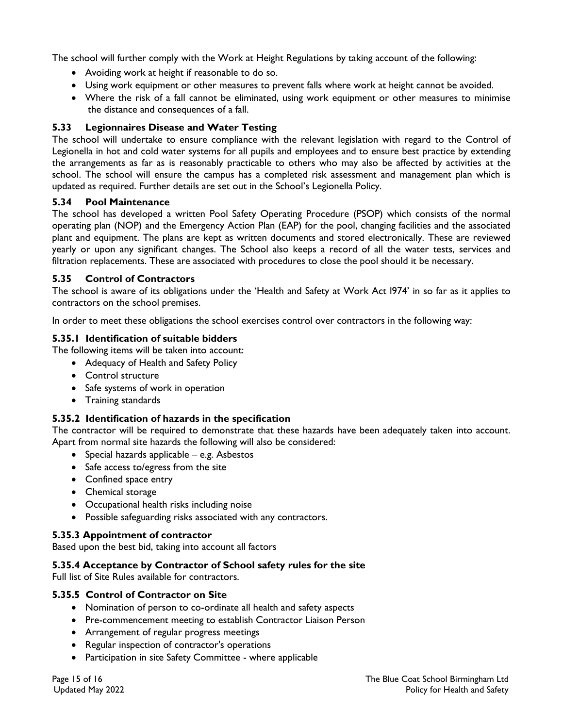The school will further comply with the Work at Height Regulations by taking account of the following:

- Avoiding work at height if reasonable to do so.
- Using work equipment or other measures to prevent falls where work at height cannot be avoided.
- Where the risk of a fall cannot be eliminated, using work equipment or other measures to minimise the distance and consequences of a fall.

## **5.33 Legionnaires Disease and Water Testing**

The school will undertake to ensure compliance with the relevant legislation with regard to the Control of Legionella in hot and cold water systems for all pupils and employees and to ensure best practice by extending the arrangements as far as is reasonably practicable to others who may also be affected by activities at the school. The school will ensure the campus has a completed risk assessment and management plan which is updated as required. Further details are set out in the School's Legionella Policy.

#### **5.34 Pool Maintenance**

The school has developed a written Pool Safety Operating Procedure (PSOP) which consists of the normal operating plan (NOP) and the Emergency Action Plan (EAP) for the pool, changing facilities and the associated plant and equipment. The plans are kept as written documents and stored electronically. These are reviewed yearly or upon any significant changes. The School also keeps a record of all the water tests, services and filtration replacements. These are associated with procedures to close the pool should it be necessary.

#### **5.35 Control of Contractors**

The school is aware of its obligations under the 'Health and Safety at Work Act l974' in so far as it applies to contractors on the school premises.

In order to meet these obligations the school exercises control over contractors in the following way:

#### **5.35.1 Identification of suitable bidders**

The following items will be taken into account:

- Adequacy of Health and Safety Policy
- Control structure
- Safe systems of work in operation
- Training standards

#### **5.35.2 Identification of hazards in the specification**

The contractor will be required to demonstrate that these hazards have been adequately taken into account. Apart from normal site hazards the following will also be considered:

- Special hazards applicable e.g. Asbestos
- Safe access to/egress from the site
- Confined space entry
- Chemical storage
- Occupational health risks including noise
- Possible safeguarding risks associated with any contractors.

#### **5.35.3 Appointment of contractor**

Based upon the best bid, taking into account all factors

#### **5.35.4 Acceptance by Contractor of School safety rules for the site**

Full list of Site Rules available for contractors.

#### **5.35.5 Control of Contractor on Site**

- Nomination of person to co-ordinate all health and safety aspects
- Pre-commencement meeting to establish Contractor Liaison Person
- Arrangement of regular progress meetings
- Regular inspection of contractor's operations
- Participation in site Safety Committee where applicable